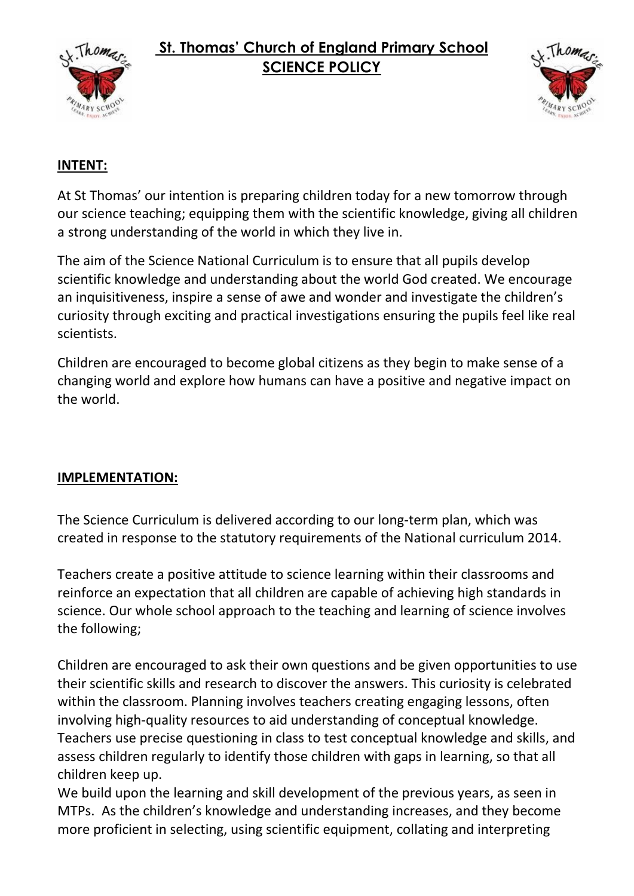

# **St. Thomas' Church of England Primary School SCIENCE POLICY**



## **INTENT:**

At St Thomas' our intention is preparing children today for a new tomorrow through our science teaching; equipping them with the scientific knowledge, giving all children a strong understanding of the world in which they live in.

The aim of the Science National Curriculum is to ensure that all pupils develop scientific knowledge and understanding about the world God created. We encourage an inquisitiveness, inspire a sense of awe and wonder and investigate the children's curiosity through exciting and practical investigations ensuring the pupils feel like real scientists.

Children are encouraged to become global citizens as they begin to make sense of a changing world and explore how humans can have a positive and negative impact on the world.

### **IMPLEMENTATION:**

The Science Curriculum is delivered according to our long-term plan, which was created in response to the statutory requirements of the National curriculum 2014.

Teachers create a positive attitude to science learning within their classrooms and reinforce an expectation that all children are capable of achieving high standards in science. Our whole school approach to the teaching and learning of science involves the following;

Children are encouraged to ask their own questions and be given opportunities to use their scientific skills and research to discover the answers. This curiosity is celebrated within the classroom. Planning involves teachers creating engaging lessons, often involving high-quality resources to aid understanding of conceptual knowledge. Teachers use precise questioning in class to test conceptual knowledge and skills, and assess children regularly to identify those children with gaps in learning, so that all children keep up.

We build upon the learning and skill development of the previous years, as seen in MTPs. As the children's knowledge and understanding increases, and they become more proficient in selecting, using scientific equipment, collating and interpreting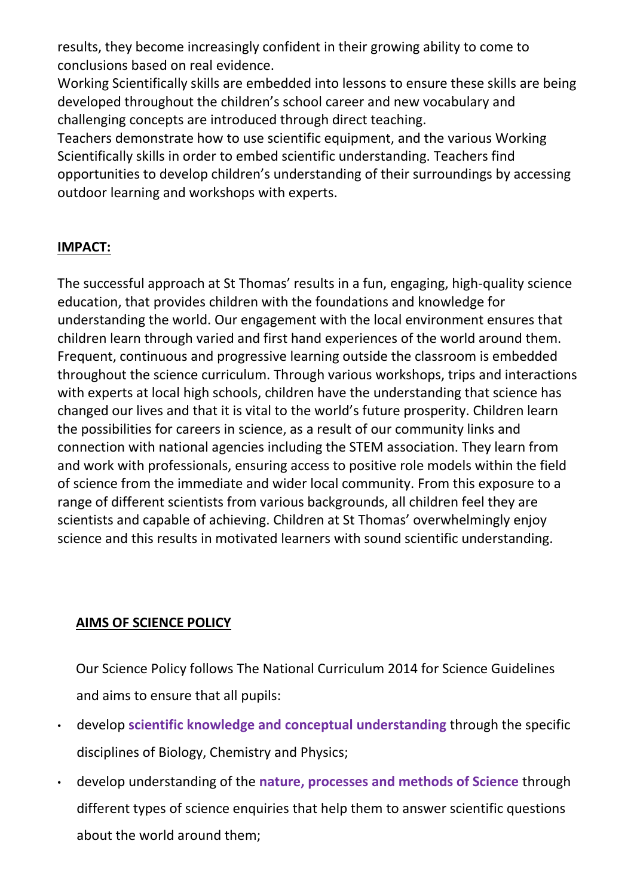results, they become increasingly confident in their growing ability to come to conclusions based on real evidence.

Working Scientifically skills are embedded into lessons to ensure these skills are being developed throughout the children's school career and new vocabulary and challenging concepts are introduced through direct teaching.

Teachers demonstrate how to use scientific equipment, and the various Working Scientifically skills in order to embed scientific understanding. Teachers find opportunities to develop children's understanding of their surroundings by accessing outdoor learning and workshops with experts.

## **IMPACT:**

The successful approach at St Thomas' results in a fun, engaging, high-quality science education, that provides children with the foundations and knowledge for understanding the world. Our engagement with the local environment ensures that children learn through varied and first hand experiences of the world around them. Frequent, continuous and progressive learning outside the classroom is embedded throughout the science curriculum. Through various workshops, trips and interactions with experts at local high schools, children have the understanding that science has changed our lives and that it is vital to the world's future prosperity. Children learn the possibilities for careers in science, as a result of our community links and connection with national agencies including the STEM association. They learn from and work with professionals, ensuring access to positive role models within the field of science from the immediate and wider local community. From this exposure to a range of different scientists from various backgrounds, all children feel they are scientists and capable of achieving. Children at St Thomas' overwhelmingly enjoy science and this results in motivated learners with sound scientific understanding.

### **AIMS OF SCIENCE POLICY**

Our Science Policy follows The National Curriculum 2014 for Science Guidelines and aims to ensure that all pupils:

- develop **scientific knowledge and conceptual understanding** through the specific disciplines of Biology, Chemistry and Physics;
- develop understanding of the **nature, processes and methods of Science** through different types of science enquiries that help them to answer scientific questions about the world around them;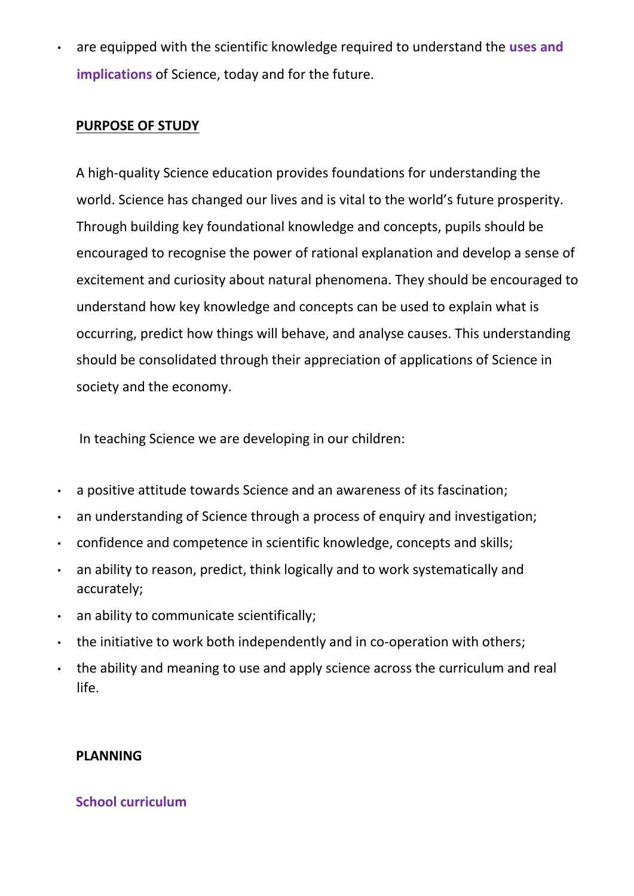• are equipped with the scientific knowledge required to understand the **uses and implications** of Science, today and for the future.

#### **PURPOSE OF STUDY**

A high-quality Science education provides foundations for understanding the world. Science has changed our lives and is vital to the world's future prosperity. Through building key foundational knowledge and concepts, pupils should be encouraged to recognise the power of rational explanation and develop a sense of excitement and curiosity about natural phenomena. They should be encouraged to understand how key knowledge and concepts can be used to explain what is occurring, predict how things will behave, and analyse causes. This understanding should be consolidated through their appreciation of applications of Science in society and the economy.

In teaching Science we are developing in our children:

- a positive attitude towards Science and an awareness of its fascination;
- an understanding of Science through a process of enquiry and investigation;
- confidence and competence in scientific knowledge, concepts and skills;
- an ability to reason, predict, think logically and to work systematically and accurately;
- an ability to communicate scientifically;
- the initiative to work both independently and in co-operation with others;
- the ability and meaning to use and apply science across the curriculum and real life.

### **PLANNING**

### **School curriculum**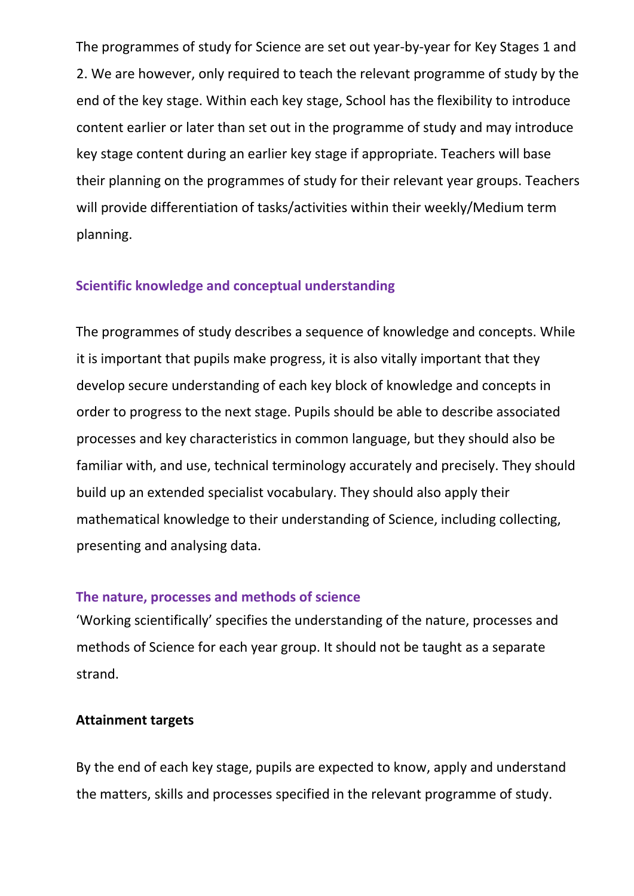The programmes of study for Science are set out year-by-year for Key Stages 1 and 2. We are however, only required to teach the relevant programme of study by the end of the key stage. Within each key stage, School has the flexibility to introduce content earlier or later than set out in the programme of study and may introduce key stage content during an earlier key stage if appropriate. Teachers will base their planning on the programmes of study for their relevant year groups. Teachers will provide differentiation of tasks/activities within their weekly/Medium term planning.

#### **Scientific knowledge and conceptual understanding**

The programmes of study describes a sequence of knowledge and concepts. While it is important that pupils make progress, it is also vitally important that they develop secure understanding of each key block of knowledge and concepts in order to progress to the next stage. Pupils should be able to describe associated processes and key characteristics in common language, but they should also be familiar with, and use, technical terminology accurately and precisely. They should build up an extended specialist vocabulary. They should also apply their mathematical knowledge to their understanding of Science, including collecting, presenting and analysing data.

#### **The nature, processes and methods of science**

'Working scientifically' specifies the understanding of the nature, processes and methods of Science for each year group. It should not be taught as a separate strand.

#### **Attainment targets**

By the end of each key stage, pupils are expected to know, apply and understand the matters, skills and processes specified in the relevant programme of study.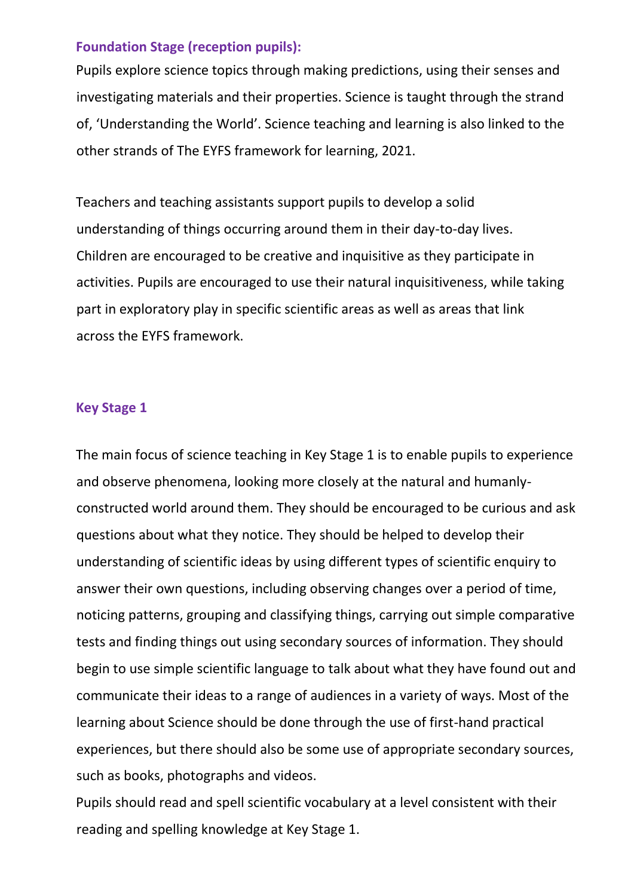#### **Foundation Stage (reception pupils):**

Pupils explore science topics through making predictions, using their senses and investigating materials and their properties. Science is taught through the strand of, 'Understanding the World'. Science teaching and learning is also linked to the other strands of The EYFS framework for learning, 2021.

Teachers and teaching assistants support pupils to develop a solid understanding of things occurring around them in their day-to-day lives. Children are encouraged to be creative and inquisitive as they participate in activities. Pupils are encouraged to use their natural inquisitiveness, while taking part in exploratory play in specific scientific areas as well as areas that link across the EYFS framework.

#### **Key Stage 1**

The main focus of science teaching in Key Stage 1 is to enable pupils to experience and observe phenomena, looking more closely at the natural and humanlyconstructed world around them. They should be encouraged to be curious and ask questions about what they notice. They should be helped to develop their understanding of scientific ideas by using different types of scientific enquiry to answer their own questions, including observing changes over a period of time, noticing patterns, grouping and classifying things, carrying out simple comparative tests and finding things out using secondary sources of information. They should begin to use simple scientific language to talk about what they have found out and communicate their ideas to a range of audiences in a variety of ways. Most of the learning about Science should be done through the use of first-hand practical experiences, but there should also be some use of appropriate secondary sources, such as books, photographs and videos.

Pupils should read and spell scientific vocabulary at a level consistent with their reading and spelling knowledge at Key Stage 1.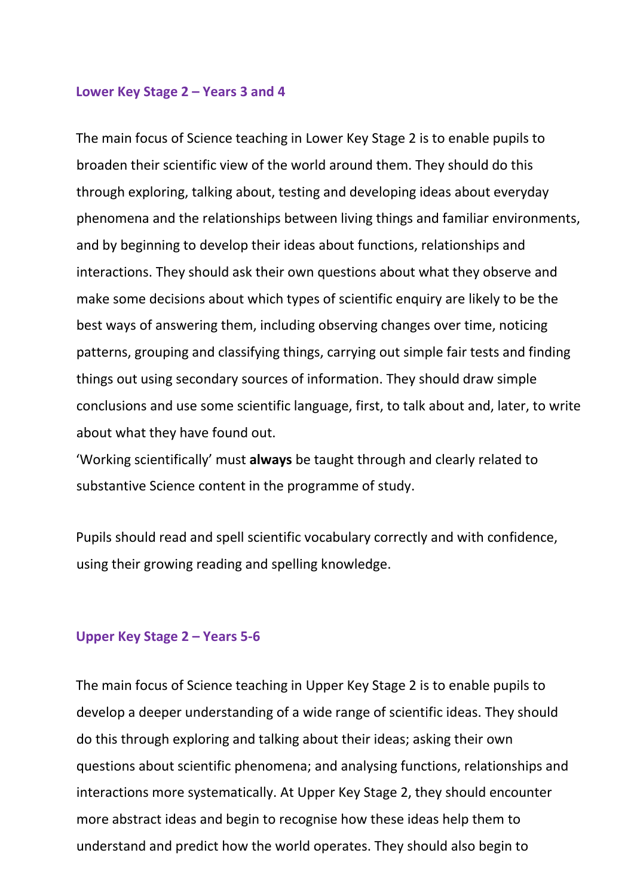#### **Lower Key Stage 2 – Years 3 and 4**

The main focus of Science teaching in Lower Key Stage 2 is to enable pupils to broaden their scientific view of the world around them. They should do this through exploring, talking about, testing and developing ideas about everyday phenomena and the relationships between living things and familiar environments, and by beginning to develop their ideas about functions, relationships and interactions. They should ask their own questions about what they observe and make some decisions about which types of scientific enquiry are likely to be the best ways of answering them, including observing changes over time, noticing patterns, grouping and classifying things, carrying out simple fair tests and finding things out using secondary sources of information. They should draw simple conclusions and use some scientific language, first, to talk about and, later, to write about what they have found out.

'Working scientifically' must **always** be taught through and clearly related to substantive Science content in the programme of study.

Pupils should read and spell scientific vocabulary correctly and with confidence, using their growing reading and spelling knowledge.

#### **Upper Key Stage 2 – Years 5-6**

The main focus of Science teaching in Upper Key Stage 2 is to enable pupils to develop a deeper understanding of a wide range of scientific ideas. They should do this through exploring and talking about their ideas; asking their own questions about scientific phenomena; and analysing functions, relationships and interactions more systematically. At Upper Key Stage 2, they should encounter more abstract ideas and begin to recognise how these ideas help them to understand and predict how the world operates. They should also begin to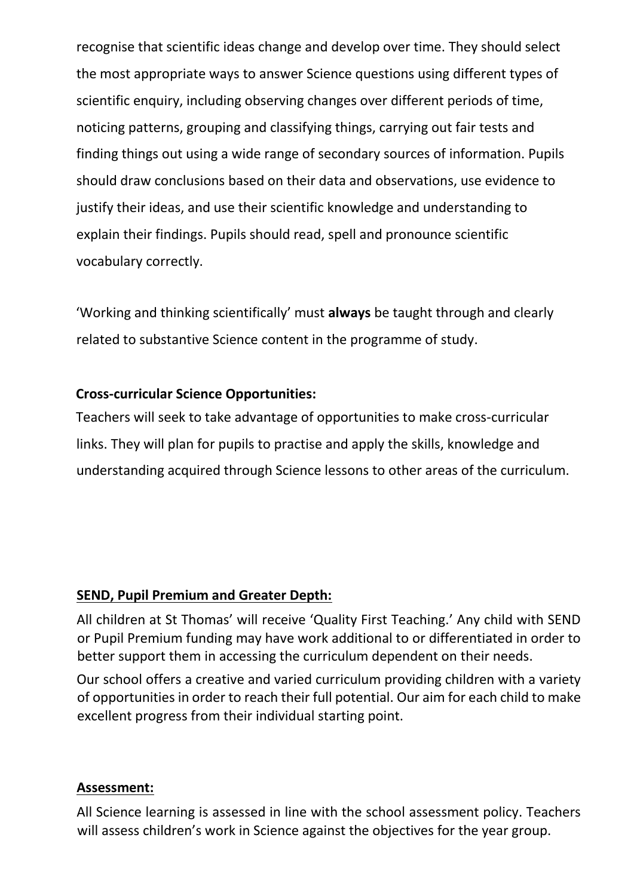recognise that scientific ideas change and develop over time. They should select the most appropriate ways to answer Science questions using different types of scientific enquiry, including observing changes over different periods of time, noticing patterns, grouping and classifying things, carrying out fair tests and finding things out using a wide range of secondary sources of information. Pupils should draw conclusions based on their data and observations, use evidence to justify their ideas, and use their scientific knowledge and understanding to explain their findings. Pupils should read, spell and pronounce scientific vocabulary correctly.

'Working and thinking scientifically' must **always** be taught through and clearly related to substantive Science content in the programme of study.

### **Cross-curricular Science Opportunities:**

Teachers will seek to take advantage of opportunities to make cross-curricular links. They will plan for pupils to practise and apply the skills, knowledge and understanding acquired through Science lessons to other areas of the curriculum.

### **SEND, Pupil Premium and Greater Depth:**

All children at St Thomas' will receive 'Quality First Teaching.' Any child with SEND or Pupil Premium funding may have work additional to or differentiated in order to better support them in accessing the curriculum dependent on their needs.

Our school offers a creative and varied curriculum providing children with a variety of opportunities in order to reach their full potential. Our aim for each child to make excellent progress from their individual starting point.

### **Assessment:**

All Science learning is assessed in line with the school assessment policy. Teachers will assess children's work in Science against the objectives for the year group.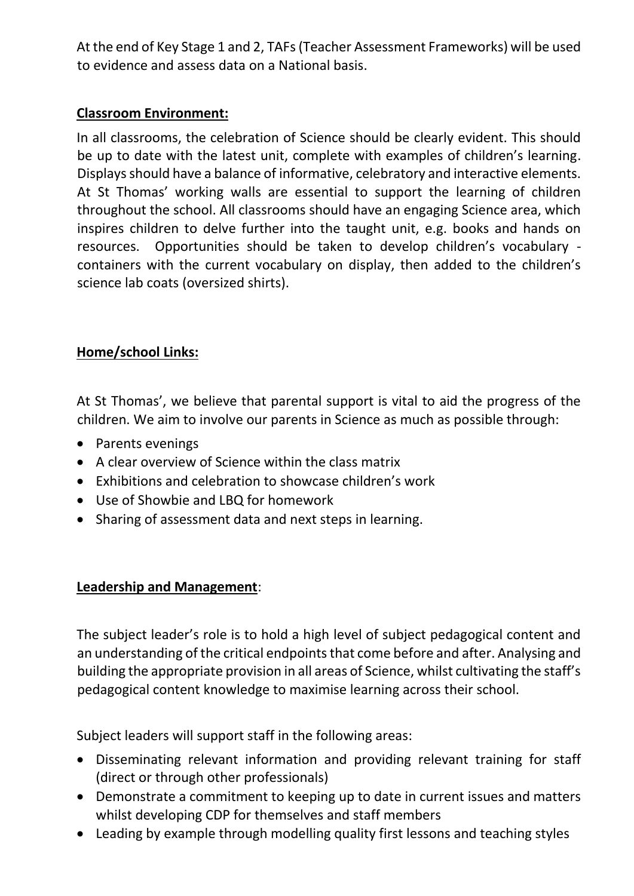At the end of Key Stage 1 and 2, TAFs (Teacher Assessment Frameworks) will be used to evidence and assess data on a National basis.

### **Classroom Environment:**

In all classrooms, the celebration of Science should be clearly evident. This should be up to date with the latest unit, complete with examples of children's learning. Displays should have a balance of informative, celebratory and interactive elements. At St Thomas' working walls are essential to support the learning of children throughout the school. All classrooms should have an engaging Science area, which inspires children to delve further into the taught unit, e.g. books and hands on resources. Opportunities should be taken to develop children's vocabulary containers with the current vocabulary on display, then added to the children's science lab coats (oversized shirts).

## **Home/school Links:**

At St Thomas', we believe that parental support is vital to aid the progress of the children. We aim to involve our parents in Science as much as possible through:

- Parents evenings
- A clear overview of Science within the class matrix
- Exhibitions and celebration to showcase children's work
- Use of Showbie and LBQ for homework
- Sharing of assessment data and next steps in learning.

### **Leadership and Management**:

The subject leader's role is to hold a high level of subject pedagogical content and an understanding of the critical endpoints that come before and after. Analysing and building the appropriate provision in all areas of Science, whilst cultivating the staff's pedagogical content knowledge to maximise learning across their school.

Subject leaders will support staff in the following areas:

- Disseminating relevant information and providing relevant training for staff (direct or through other professionals)
- Demonstrate a commitment to keeping up to date in current issues and matters whilst developing CDP for themselves and staff members
- Leading by example through modelling quality first lessons and teaching styles